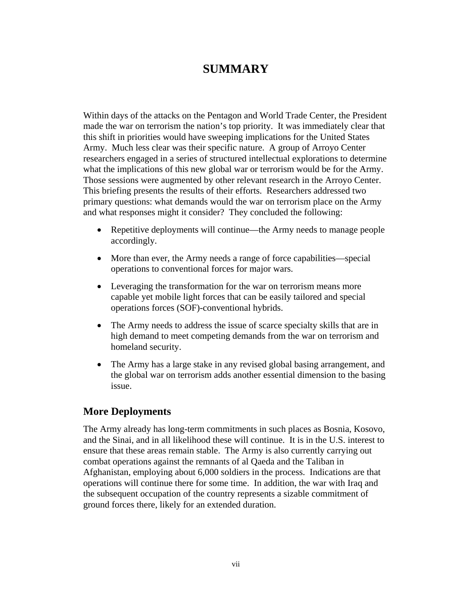# **SUMMARY**

Within days of the attacks on the Pentagon and World Trade Center, the President made the war on terrorism the nation's top priority. It was immediately clear that this shift in priorities would have sweeping implications for the United States Army. Much less clear was their specific nature. A group of Arroyo Center researchers engaged in a series of structured intellectual explorations to determine what the implications of this new global war or terrorism would be for the Army. Those sessions were augmented by other relevant research in the Arroyo Center. This briefing presents the results of their efforts. Researchers addressed two primary questions: what demands would the war on terrorism place on the Army and what responses might it consider? They concluded the following:

- Repetitive deployments will continue—the Army needs to manage people accordingly.
- More than ever, the Army needs a range of force capabilities—special operations to conventional forces for major wars.
- Leveraging the transformation for the war on terrorism means more capable yet mobile light forces that can be easily tailored and special operations forces (SOF)-conventional hybrids.
- The Army needs to address the issue of scarce specialty skills that are in high demand to meet competing demands from the war on terrorism and homeland security.
- The Army has a large stake in any revised global basing arrangement, and the global war on terrorism adds another essential dimension to the basing issue.

# **More Deployments**

The Army already has long-term commitments in such places as Bosnia, Kosovo, and the Sinai, and in all likelihood these will continue. It is in the U.S. interest to ensure that these areas remain stable. The Army is also currently carrying out combat operations against the remnants of al Qaeda and the Taliban in Afghanistan, employing about 6,000 soldiers in the process. Indications are that operations will continue there for some time. In addition, the war with Iraq and the subsequent occupation of the country represents a sizable commitment of ground forces there, likely for an extended duration.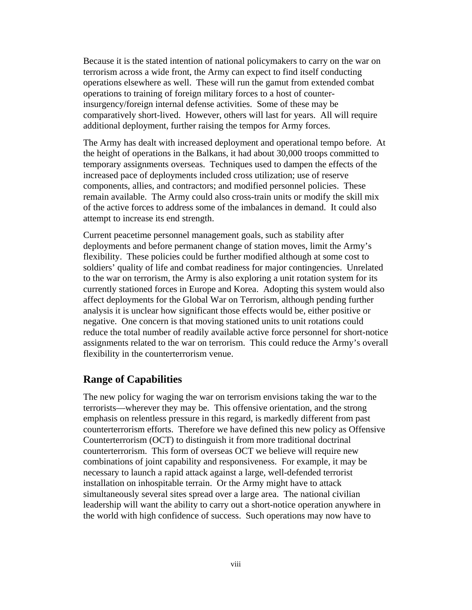Because it is the stated intention of national policymakers to carry on the war on terrorism across a wide front, the Army can expect to find itself conducting operations elsewhere as well. These will run the gamut from extended combat operations to training of foreign military forces to a host of counterinsurgency/foreign internal defense activities. Some of these may be comparatively short-lived. However, others will last for years. All will require additional deployment, further raising the tempos for Army forces.

The Army has dealt with increased deployment and operational tempo before. At the height of operations in the Balkans, it had about 30,000 troops committed to temporary assignments overseas. Techniques used to dampen the effects of the increased pace of deployments included cross utilization; use of reserve components, allies, and contractors; and modified personnel policies. These remain available. The Army could also cross-train units or modify the skill mix of the active forces to address some of the imbalances in demand. It could also attempt to increase its end strength.

Current peacetime personnel management goals, such as stability after deployments and before permanent change of station moves, limit the Army's flexibility. These policies could be further modified although at some cost to soldiers' quality of life and combat readiness for major contingencies. Unrelated to the war on terrorism, the Army is also exploring a unit rotation system for its currently stationed forces in Europe and Korea. Adopting this system would also affect deployments for the Global War on Terrorism, although pending further analysis it is unclear how significant those effects would be, either positive or negative. One concern is that moving stationed units to unit rotations could reduce the total number of readily available active force personnel for short-notice assignments related to the war on terrorism. This could reduce the Army's overall flexibility in the counterterrorism venue.

## **Range of Capabilities**

The new policy for waging the war on terrorism envisions taking the war to the terrorists—wherever they may be. This offensive orientation, and the strong emphasis on relentless pressure in this regard, is markedly different from past counterterrorism efforts. Therefore we have defined this new policy as Offensive Counterterrorism (OCT) to distinguish it from more traditional doctrinal counterterrorism. This form of overseas OCT we believe will require new combinations of joint capability and responsiveness. For example, it may be necessary to launch a rapid attack against a large, well-defended terrorist installation on inhospitable terrain. Or the Army might have to attack simultaneously several sites spread over a large area. The national civilian leadership will want the ability to carry out a short-notice operation anywhere in the world with high confidence of success. Such operations may now have to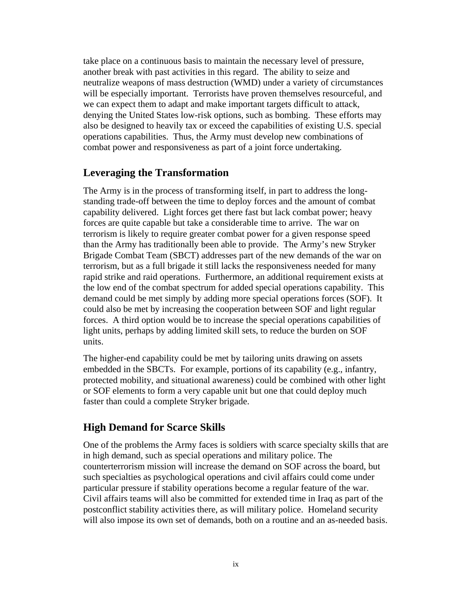take place on a continuous basis to maintain the necessary level of pressure, another break with past activities in this regard. The ability to seize and neutralize weapons of mass destruction (WMD) under a variety of circumstances will be especially important. Terrorists have proven themselves resourceful, and we can expect them to adapt and make important targets difficult to attack, denying the United States low-risk options, such as bombing. These efforts may also be designed to heavily tax or exceed the capabilities of existing U.S. special operations capabilities. Thus, the Army must develop new combinations of combat power and responsiveness as part of a joint force undertaking.

### **Leveraging the Transformation**

The Army is in the process of transforming itself, in part to address the longstanding trade-off between the time to deploy forces and the amount of combat capability delivered. Light forces get there fast but lack combat power; heavy forces are quite capable but take a considerable time to arrive. The war on terrorism is likely to require greater combat power for a given response speed than the Army has traditionally been able to provide. The Army's new Stryker Brigade Combat Team (SBCT) addresses part of the new demands of the war on terrorism, but as a full brigade it still lacks the responsiveness needed for many rapid strike and raid operations. Furthermore, an additional requirement exists at the low end of the combat spectrum for added special operations capability. This demand could be met simply by adding more special operations forces (SOF). It could also be met by increasing the cooperation between SOF and light regular forces. A third option would be to increase the special operations capabilities of light units, perhaps by adding limited skill sets, to reduce the burden on SOF units.

The higher-end capability could be met by tailoring units drawing on assets embedded in the SBCTs. For example, portions of its capability (e.g., infantry, protected mobility, and situational awareness) could be combined with other light or SOF elements to form a very capable unit but one that could deploy much faster than could a complete Stryker brigade.

## **High Demand for Scarce Skills**

One of the problems the Army faces is soldiers with scarce specialty skills that are in high demand, such as special operations and military police. The counterterrorism mission will increase the demand on SOF across the board, but such specialties as psychological operations and civil affairs could come under particular pressure if stability operations become a regular feature of the war. Civil affairs teams will also be committed for extended time in Iraq as part of the postconflict stability activities there, as will military police. Homeland security will also impose its own set of demands, both on a routine and an as-needed basis.